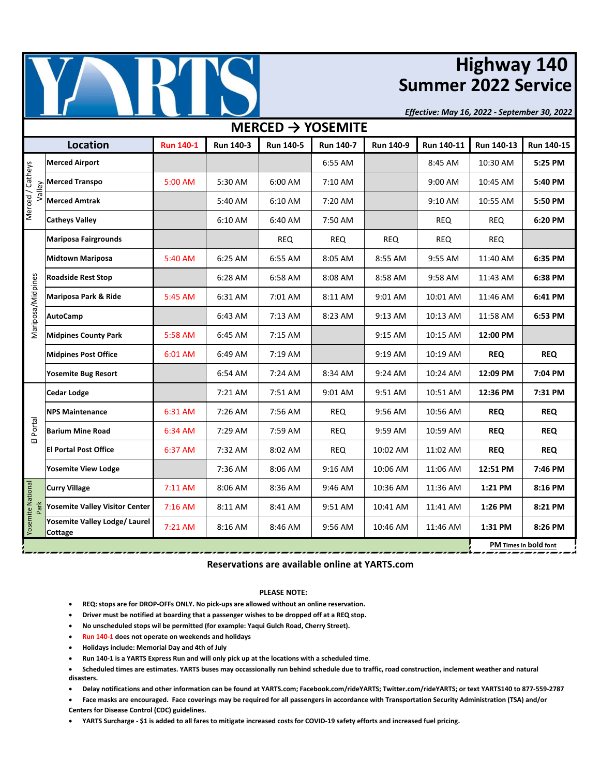

# **Highway 140 Summer 2022 Service**

*Effective: May 16, 2022 - September 30, 2022*

| MERCED $\rightarrow$ YOSEMITE    |                                                                                                                                    |                  |                       |                  |                  |            |            |            |            |  |  |  |
|----------------------------------|------------------------------------------------------------------------------------------------------------------------------------|------------------|-----------------------|------------------|------------------|------------|------------|------------|------------|--|--|--|
|                                  | <b>Location</b>                                                                                                                    | <b>Run 140-1</b> | <b>Run 140-3</b>      | <b>Run 140-5</b> | <b>Run 140-7</b> | Run 140-9  | Run 140-11 | Run 140-13 | Run 140-15 |  |  |  |
| Merced / Catheys                 | <b>Merced Airport</b>                                                                                                              |                  |                       |                  | 6:55 AM          |            | 8:45 AM    | 10:30 AM   | 5:25 PM    |  |  |  |
|                                  | $\frac{\sum_{\substack{\underline{\omega}\\{\overline{\omega}}}}}{\sum_{\substack{\text{Merced }{\text{A}}\\{\text{Merced A}}\\}}$ | 5:00 AM          | 5:30 AM               | 6:00 AM          | 7:10 AM          |            | 9:00 AM    | 10:45 AM   | 5:40 PM    |  |  |  |
|                                  | <b>Merced Amtrak</b>                                                                                                               |                  | 5:40 AM               | 6:10 AM          | 7:20 AM          |            | 9:10 AM    | 10:55 AM   | 5:50 PM    |  |  |  |
|                                  | <b>Catheys Valley</b>                                                                                                              |                  | 6:10 AM               | 6:40 AM          | 7:50 AM          |            | <b>REQ</b> | <b>REQ</b> | 6:20 PM    |  |  |  |
| Mariposa/Midpines                | <b>Mariposa Fairgrounds</b>                                                                                                        |                  |                       | <b>REQ</b>       | <b>REQ</b>       | <b>REQ</b> | <b>REQ</b> | <b>REQ</b> |            |  |  |  |
|                                  | <b>Midtown Mariposa</b>                                                                                                            | 5:40 AM          | 6:25 AM               | 6:55 AM          | 8:05 AM          | 8:55 AM    | 9:55 AM    | 11:40 AM   | 6:35 PM    |  |  |  |
|                                  | <b>Roadside Rest Stop</b>                                                                                                          |                  | 6:28 AM               | 6:58 AM          | 8:08 AM          | 8:58 AM    | 9:58 AM    | 11:43 AM   | 6:38 PM    |  |  |  |
|                                  | Mariposa Park & Ride                                                                                                               | 5:45 AM          | 6:31 AM               | 7:01 AM          | 8:11 AM          | 9:01 AM    | 10:01 AM   | 11:46 AM   | 6:41 PM    |  |  |  |
|                                  | <b>AutoCamp</b>                                                                                                                    |                  | 6:43 AM               | 7:13 AM          | 8:23 AM          | 9:13 AM    | 10:13 AM   | 11:58 AM   | 6:53 PM    |  |  |  |
|                                  | <b>Midpines County Park</b>                                                                                                        | 5:58 AM          | 6:45 AM               | 7:15 AM          |                  | 9:15 AM    | 10:15 AM   | 12:00 PM   |            |  |  |  |
|                                  | <b>Midpines Post Office</b>                                                                                                        | 6:01 AM          | 6:49 AM               | 7:19 AM          |                  | 9:19 AM    | 10:19 AM   | <b>REQ</b> | <b>REQ</b> |  |  |  |
|                                  | <b>Yosemite Bug Resort</b>                                                                                                         |                  | 6:54 AM               | 7:24 AM          | 8:34 AM          | 9:24 AM    | 10:24 AM   | 12:09 PM   | 7:04 PM    |  |  |  |
| Portal<br>$\overline{u}$         | <b>Cedar Lodge</b>                                                                                                                 |                  | 7:21 AM               | 7:51 AM          | 9:01 AM          | 9:51 AM    | 10:51 AM   | 12:36 PM   | 7:31 PM    |  |  |  |
|                                  | <b>NPS Maintenance</b>                                                                                                             | 6:31 AM          | 7:26 AM               | 7:56 AM          | <b>REQ</b>       | 9:56 AM    | 10:56 AM   | <b>REQ</b> | <b>REQ</b> |  |  |  |
|                                  | <b>Barium Mine Road</b>                                                                                                            | 6:34 AM          | 7:29 AM               | 7:59 AM          | <b>REQ</b>       | 9:59 AM    | 10:59 AM   | <b>REQ</b> | <b>REQ</b> |  |  |  |
|                                  | <b>El Portal Post Office</b>                                                                                                       | 6:37 AM          | 7:32 AM               | 8:02 AM          | <b>REQ</b>       | 10:02 AM   | 11:02 AM   | <b>REQ</b> | <b>REQ</b> |  |  |  |
|                                  | <b>Yosemite View Lodge</b>                                                                                                         |                  | 7:36 AM               | 8:06 AM          | 9:16 AM          | 10:06 AM   | 11:06 AM   | 12:51 PM   | 7:46 PM    |  |  |  |
| <b>Yosemite National</b><br>Park | <b>Curry Village</b>                                                                                                               | 7:11 AM          | 8:06 AM               | 8:36 AM          | 9:46 AM          | 10:36 AM   | 11:36 AM   | 1:21 PM    | 8:16 PM    |  |  |  |
|                                  | <b>Yosemite Valley Visitor Center</b>                                                                                              | 7:16 AM          | 8:11 AM               | 8:41 AM          | 9:51 AM          | 10:41 AM   | 11:41 AM   | 1:26 PM    | 8:21 PM    |  |  |  |
|                                  | Yosemite Valley Lodge/ Laurel<br>Cottage                                                                                           | 7:21 AM          | 8:16 AM               | 8:46 AM          | 9:56 AM          | 10:46 AM   | 11:46 AM   | 1:31 PM    | 8:26 PM    |  |  |  |
|                                  |                                                                                                                                    |                  | PM Times in bold font |                  |                  |            |            |            |            |  |  |  |

**Reservations are available online at YARTS.com**

### **PLEASE NOTE:**

- **REQ: stops are for DROP-OFFs ONLY. No pick-ups are allowed without an online reservation.**
- **Driver must be notified at boarding that a passenger wishes to be dropped off at a REQ stop.**
- **No unscheduled stops wil be permitted (for example: Yaqui Gulch Road, Cherry Street).**
- **Run 140-1 does not operate on weekends and holidays**
- **Holidays include: Memorial Day and 4th of July**
- **Run 140-1 is a YARTS Express Run and will only pick up at the locations with a scheduled time**.
- **Scheduled times are estimates. YARTS buses may occassionally run behind schedule due to traffic, road construction, inclement weather and natural disasters.**
- **Delay notifications and other information can be found at YARTS.com; Facebook.com/rideYARTS; Twitter.com/rideYARTS; or text YARTS140 to 877-559-2787**
- **Face masks are encouraged. Face coverings may be required for all passengers in accordance with Transportation Security Administration (TSA) and/or**
- **Centers for Disease Control (CDC) guidelines.**

• **YARTS Surcharge - \$1 is added to all fares to mitigate increased costs for COVID-19 safety efforts and increased fuel pricing.**